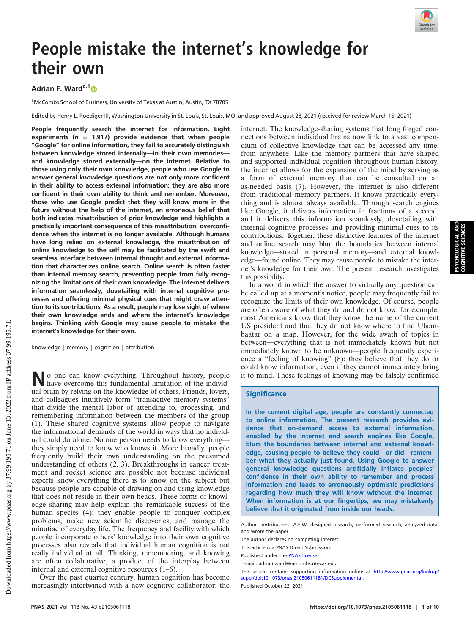

PSYCHOLOGICAL AND COGNITIVE SCIENCES

PSYCHOLOGICAL AND<br>COGNITIVE SCIENCES

# People mistake the internet's knowledge for their own

# Adrian F. Ward<sup>a,1</sup><sup>®</sup>

<sup>a</sup>McCombs School of Business, University of Texas at Austin, Austin, TX 78705

Edited by Henry L. Roediger III, Washington University in St. Louis, St. Louis, MO, and approved August 28, 2021 (received for review March 15, 2021)

People frequently search the internet for information. Eight experiments ( $n = 1,917$ ) provide evidence that when people "Google" for online information, they fail to accurately distinguish between knowledge stored internally—in their own memories and knowledge stored externally—on the internet. Relative to those using only their own knowledge, people who use Google to answer general knowledge questions are not only more confident in their ability to access external information; they are also more confident in their own ability to think and remember. Moreover, those who use Google predict that they will know more in the future without the help of the internet, an erroneous belief that both indicates misattribution of prior knowledge and highlights a practically important consequence of this misattribution: overconfidence when the internet is no longer available. Although humans have long relied on external knowledge, the misattribution of online knowledge to the self may be facilitated by the swift and seamless interface between internal thought and external information that characterizes online search. Online search is often faster than internal memory search, preventing people from fully recognizing the limitations of their own knowledge. The internet delivers information seamlessly, dovetailing with internal cognitive processes and offering minimal physical cues that might draw attention to its contributions. As a result, people may lose sight of where their own knowledge ends and where the internet's knowledge begins. Thinking with Google may cause people to mistake the internet's knowledge for their own.

knowledge | memory | cognition | attribution

No one can know everything. Throughout history, people have overcome this fundamental limitation of the individual brain by relying on the knowledge of others. Friends, lovers, and colleagues intuitively form "transactive memory systems" that divide the mental labor of attending to, processing, and remembering information between the members of the group (1). These shared cognitive systems allow people to navigate the informational demands of the world in ways that no individual could do alone. No one person needs to know everything they simply need to know who knows it. More broadly, people frequently build their own understanding on the presumed understanding of others (2, 3). Breakthroughs in cancer treatment and rocket science are possible not because individual experts know everything there is to know on the subject but because people are capable of drawing on and using knowledge that does not reside in their own heads. These forms of knowledge sharing may help explain the remarkable success of the human species (4); they enable people to conquer complex problems, make new scientific discoveries, and manage the minutiae of everyday life. The frequency and facility with which people incorporate others' knowledge into their own cognitive processes also reveals that individual human cognition is not really individual at all. Thinking, remembering, and knowing are often collaborative, a product of the interplay between internal and external cognitive resources (1–6).

Over the past quarter century, human cognition has become increasingly intertwined with a new cognitive collaborator: the

internet. The knowledge-sharing systems that long forged connections between individual brains now link to a vast compendium of collective knowledge that can be accessed any time, from anywhere. Like the memory partners that have shaped and supported individual cognition throughout human history, the internet allows for the expansion of the mind by serving as a form of external memory that can be consulted on an as-needed basis (7). However, the internet is also different from traditional memory partners. It knows practically everything and is almost always available. Through search engines like Google, it delivers information in fractions of a second; and it delivers this information seamlessly, dovetailing with internal cognitive processes and providing minimal cues to its contributions. Together, these distinctive features of the internet and online search may blur the boundaries between internal knowledge—stored in personal memory—and external knowledge—found online. They may cause people to mistake the internet's knowledge for their own. The present research investigates this possibility.

In a world in which the answer to virtually any question can be called up at a moment's notice, people may frequently fail to recognize the limits of their own knowledge. Of course, people are often aware of what they do and do not know; for example, most Americans know that they know the name of the current US president and that they do not know where to find Ulaanbaatar on a map. However, for the wide swath of topics in between—everything that is not immediately known but not immediately known to be unknown—people frequently experience a "feeling of knowing" (8); they believe that they do or could know information, even if they cannot immediately bring it to mind. These feelings of knowing may be falsely confirmed

#### **Significance**

In the current digital age, people are constantly connected to online information. The present research provides evidence that on-demand access to external information, enabled by the internet and search engines like Google, blurs the boundaries between internal and external knowledge, causing people to believe they could—or did—remember what they actually just found. Using Google to answer general knowledge questions artificially inflates peoples' confidence in their own ability to remember and process information and leads to erroneously optimistic predictions regarding how much they will know without the internet. When information is at our fingertips, we may mistakenly believe that it originated from inside our heads.

Author contributions: A.F.W. designed research, performed research, analyzed data, and wrote the paper.

This article contains supporting information online at [http://www.pnas.org/lookup/](http://www.pnas.org/lookup/suppl/doi:10.1073/pnas.2105061118/-/DCSupplemental) [suppl/doi:10.1073/pnas.2105061118/-/DCSupplemental.](http://www.pnas.org/lookup/suppl/doi:10.1073/pnas.2105061118/-/DCSupplemental)

Published October 22, 2021.

The author declares no competing interest.

This article is a PNAS Direct Submission.

Published under the [PNAS license.](https://www.pnas.org/site/aboutpnas/licenses.xhtml)

<sup>1</sup>Email: [adrian.ward@mccombs.utexas.edu.](mailto:adrian.ward@mccombs.utexas.edu)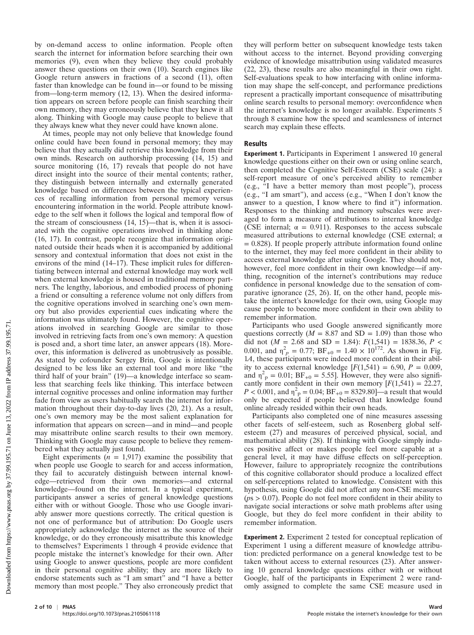by on-demand access to online information. People often search the internet for information before searching their own memories (9), even when they believe they could probably answer these questions on their own (10). Search engines like Google return answers in fractions of a second (11), often faster than knowledge can be found in—or found to be missing from—long-term memory (12, 13). When the desired information appears on screen before people can finish searching their own memory, they may erroneously believe that they knew it all along. Thinking with Google may cause people to believe that they always knew what they never could have known alone.

At times, people may not only believe that knowledge found online could have been found in personal memory; they may believe that they actually did retrieve this knowledge from their own minds. Research on authorship processing (14, 15) and source monitoring (16, 17) reveals that people do not have direct insight into the source of their mental contents; rather, they distinguish between internally and externally generated knowledge based on differences between the typical experiences of recalling information from personal memory versus encountering information in the world. People attribute knowledge to the self when it follows the logical and temporal flow of the stream of consciousness (14, 15)—that is, when it is associated with the cognitive operations involved in thinking alone (16, 17). In contrast, people recognize that information originated outside their heads when it is accompanied by additional sensory and contextual information that does not exist in the environs of the mind (14–17). These implicit rules for differentiating between internal and external knowledge may work well when external knowledge is housed in traditional memory partners. The lengthy, laborious, and embodied process of phoning a friend or consulting a reference volume not only differs from the cognitive operations involved in searching one's own memory but also provides experiential cues indicating where the information was ultimately found. However, the cognitive operations involved in searching Google are similar to those involved in retrieving facts from one's own memory: A question is posed and, a short time later, an answer appears (18). Moreover, this information is delivered as unobtrusively as possible. As stated by cofounder Sergey Brin, Google is intentionally designed to be less like an external tool and more like "the third half of your brain" (19)—a knowledge interface so seamless that searching feels like thinking. This interface between internal cognitive processes and online information may further fade from view as users habitually search the internet for information throughout their day-to-day lives (20, 21). As a result, one's own memory may be the most salient explanation for information that appears on screen—and in mind—and people may misattribute online search results to their own memory. Thinking with Google may cause people to believe they remembered what they actually just found.

Eight experiments ( $n = 1,917$ ) examine the possibility that when people use Google to search for and access information, they fail to accurately distinguish between internal knowledge—retrieved from their own memories—and external knowledge—found on the internet. In a typical experiment, participants answer a series of general knowledge questions either with or without Google. Those who use Google invariably answer more questions correctly. The critical question is not one of performance but of attribution: Do Google users appropriately acknowledge the internet as the source of their knowledge, or do they erroneously misattribute this knowledge to themselves? Experiments 1 through 4 provide evidence that people mistake the internet's knowledge for their own. After using Google to answer questions, people are more confident in their personal cognitive ability; they are more likely to endorse statements such as "I am smart" and "I have a better memory than most people." They also erroneously predict that they will perform better on subsequent knowledge tests taken without access to the internet. Beyond providing converging evidence of knowledge misattribution using validated measures (22, 23), these results are also meaningful in their own right. Self-evaluations speak to how interfacing with online information may shape the self-concept, and performance predictions represent a practically important consequence of misattributing online search results to personal memory: overconfidence when the internet's knowledge is no longer available. Experiments 5 through 8 examine how the speed and seamlessness of internet search may explain these effects.

### **Results**

Experiment 1. Participants in Experiment 1 answered 10 general knowledge questions either on their own or using online search, then completed the Cognitive Self-Esteem (CSE) scale (24): a self-report measure of one's perceived ability to remember (e.g., "I have a better memory than most people"), process (e.g., "I am smart"), and access (e.g., "When I don't know the answer to a question, I know where to find it") information. Responses to the thinking and memory subscales were averaged to form a measure of attributions to internal knowledge (CSE internal;  $\alpha = 0.911$ ). Responses to the access subscale measured attributions to external knowledge (CSE external; α  $= 0.828$ ). If people properly attribute information found online to the internet, they may feel more confident in their ability to access external knowledge after using Google. They should not, however, feel more confident in their own knowledge—if anything, recognition of the internet's contributions may reduce confidence in personal knowledge due to the sensation of comparative ignorance (25, 26). If, on the other hand, people mistake the internet's knowledge for their own, using Google may cause people to become more confident in their own ability to remember information.

Participants who used Google answered significantly more questions correctly ( $M = 8.87$  and SD = 1.09) than those who did not ( $M = 2.68$  and SD = 1.84):  $F(1,541) = 1838.36$ ,  $P <$ 0.001, and  $\eta_p^2 = 0.77$ ;  $BF_{+0} = 1.40 \times 10^{172}$ . As shown in Fig. 1A, these participants were indeed more confident in their ability to access external knowledge  $[F(1,541) = 6.90, P = 0.009,$ and  $\eta_{\text{p}}^2 = 0.01$ ; BF<sub>+0</sub> = 5.55]. However, they were also significantly more confident in their own memory  $[F(1,541) = 22.27,$  $P < 0.001$ , and  $\eta_{\text{p}}^2 = 0.04$ ;  $BF_{+0} = 8329.80$ ]—a result that would only be expected if people believed that knowledge found online already resided within their own heads.

Participants also completed one of nine measures assessing other facets of self-esteem, such as Rosenberg global selfesteem (27) and measures of perceived physical, social, and mathematical ability (28). If thinking with Google simply induces positive affect or makes people feel more capable at a general level, it may have diffuse effects on self-perception. However, failure to appropriately recognize the contributions of this cognitive collaborator should produce a localized effect on self-perceptions related to knowledge. Consistent with this hypothesis, using Google did not affect any non-CSE measures  $(ps > 0.07)$ . People do not feel more confident in their ability to navigate social interactions or solve math problems after using Google, but they do feel more confident in their ability to remember information.

Experiment 2. Experiment 2 tested for conceptual replication of Experiment 1 using a different measure of knowledge attribution: predicted performance on a general knowledge test to be taken without access to external resources (23). After answering 10 general knowledge questions either with or without Google, half of the participants in Experiment 2 were randomly assigned to complete the same CSE measure used in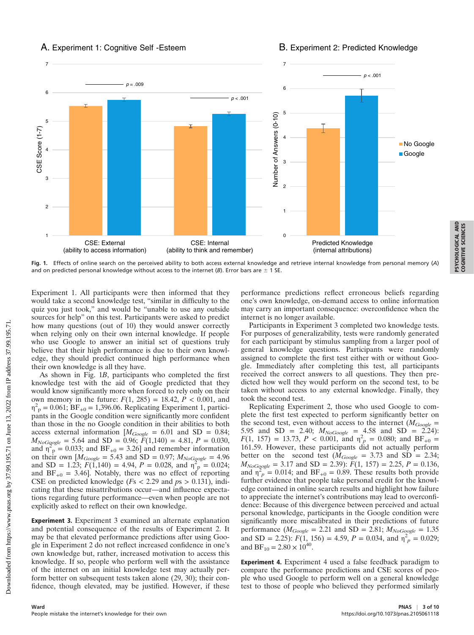## A. Experiment 1: Cognitive Self -Esteem

## B. Experiment 2: Predicted Knowledge



Fig. 1. Effects of online search on the perceived ability to both access external knowledge and retrieve internal knowledge from personal memory (A) and on predicted personal knowledge without access to the internet (B). Error bars are  $\pm$  1 SE.

Experiment 1. All participants were then informed that they would take a second knowledge test, "similar in difficulty to the quiz you just took," and would be "unable to use any outside sources for help" on this test. Participants were asked to predict how many questions (out of 10) they would answer correctly when relying only on their own internal knowledge. If people who use Google to answer an initial set of questions truly believe that their high performance is due to their own knowledge, they should predict continued high performance when their own knowledge is all they have.

As shown in Fig. 1B, participants who completed the first knowledge test with the aid of Google predicted that they would know significantly more when forced to rely only on their own memory in the future:  $F(1, 285) = 18.42$ ,  $P < 0.001$ , and  $\eta^2$ <sub>p</sub> = 0.061; BF<sub>+0</sub> = 1,396.06. Replicating Experiment 1, participants in the Google condition were significantly more confident than those in the no Google condition in their abilities to both access external information  $[M_{Google} = 6.01$  and SD = 0.84;  $M_{NoGogole} = 5.64$  and SD = 0.96;  $\ddot{F}(1,140) = 4.81$ ,  $P = 0.030$ , and  $\eta_{\text{p}}^2 = 0.033$ ; and BF<sub>+0</sub> = 3.26] and remember information on their own  $[M_{Google} = 5.43$  and SD = 0.97;  $M_{NoGogole} = 4.96$ and SD = 1.23;  $\vec{F}(1,140) = 4.94$ ,  $P = 0.028$ , and  $\eta_{\text{p}}^2 = 0.024$ ; and  $BF_{+0} = 3.46$ . Notably, there was no effect of reporting CSE on predicted knowledge ( $Fs < 2.29$  and  $ps > 0.131$ ), indicating that these misattributions occur—and influence expectations regarding future performance—even when people are not explicitly asked to reflect on their own knowledge.

Experiment 3. Experiment 3 examined an alternate explanation and potential consequence of the results of Experiment 2. It may be that elevated performance predictions after using Google in Experiment 2 do not reflect increased confidence in one's own knowledge but, rather, increased motivation to access this knowledge. If so, people who perform well with the assistance of the internet on an initial knowledge test may actually perform better on subsequent tests taken alone (29, 30); their confidence, though elevated, may be justified. However, if these

performance predictions reflect erroneous beliefs regarding one's own knowledge, on-demand access to online information may carry an important consequence: overconfidence when the internet is no longer available.

PSYCHOLOGICAL AND COGNITIVE SCIENCES

PSYCHOLOGICAL AND<br>COGNITIVE SCIENCES

Participants in Experiment 3 completed two knowledge tests. For purposes of generalizability, tests were randomly generated for each participant by stimulus sampling from a larger pool of general knowledge questions. Participants were randomly assigned to complete the first test either with or without Google. Immediately after completing this test, all participants received the correct answers to all questions. They then predicted how well they would perform on the second test, to be taken without access to any external knowledge. Finally, they took the second test.

Replicating Experiment 2, those who used Google to complete the first test expected to perform significantly better on the second test, even without access to the internet ( $M_{Google}$  = 5.95 and SD = 2.40;  $M_{NoGoogle} = 4.58$  and SD = 2.24):  $F(1, 157) = 13.73, P < 0.001, \text{ and } \eta_{p}^{2} = 0.080; \text{ and } BF_{+0} =$ 161.59. However, these participants did not actually perform better on the second test ( $\overline{M}_{Google} = 3.73$  and SD = 2.34;  $M_{NoGogole} = 3.17$  and SD = 2.39):  $\tilde{F}(1, 157) = 2.25, P = 0.136$ , and  $\eta_p^2 = 0.014$ ; and BF<sub>+0</sub> = 0.89. These results both provide further evidence that people take personal credit for the knowledge contained in online search results and highlight how failure to appreciate the internet's contributions may lead to overconfidence: Because of this divergence between perceived and actual personal knowledge, participants in the Google condition were significantly more miscalibrated in their predictions of future performance ( $M_{Google} = 2.21$  and SD = 2.81;  $M_{NoGoogle} = 1.35$ and SD = 2.25):  $F(1, 156) = 4.59$ ,  $P = 0.034$ , and  $\eta_p^2 = 0.029$ ; and  $BF_{10} = 2.80 \times 10^{40}$ .

Experiment 4. Experiment 4 used a false feedback paradigm to compare the performance predictions and CSE scores of people who used Google to perform well on a general knowledge test to those of people who believed they performed similarly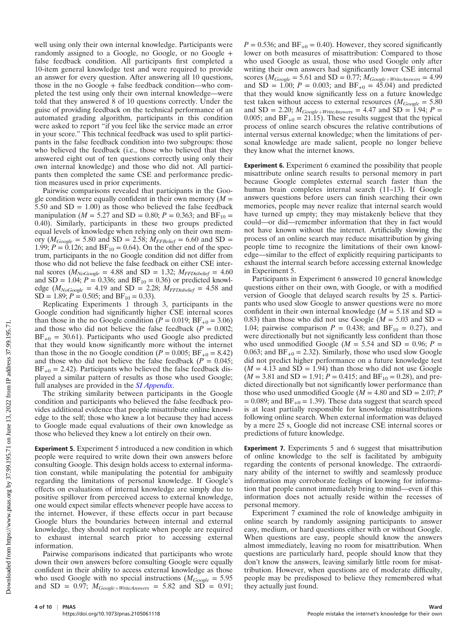well using only their own internal knowledge. Participants were randomly assigned to a Google, no Google, or no Google + false feedback condition. All participants first completed a 10-item general knowledge test and were required to provide an answer for every question. After answering all 10 questions, those in the no Google + false feedback condition—who completed the test using only their own internal knowledge—were told that they answered 8 of 10 questions correctly. Under the guise of providing feedback on the technical performance of an automated grading algorithm, participants in this condition were asked to report "if you feel like the service made an error in your score." This technical feedback was used to split participants in the false feedback condition into two subgroups: those who believed the feedback (i.e., those who believed that they answered eight out of ten questions correctly using only their own internal knowledge) and those who did not. All participants then completed the same CSE and performance prediction measures used in prior experiments.

Pairwise comparisons revealed that participants in the Google condition were equally confident in their own memory  $(M =$ 5.50 and  $SD = 1.00$ ) as those who believed the false feedback manipulation ( $M = 5.27$  and SD = 0.80;  $P = 0.363$ ; and BF<sub>10</sub> = 0.40). Similarly, participants in these two groups predicted equal levels of knowledge when relying only on their own memory ( $M_{Google} = 5.80$  and SD = 2.58;  $M_{FFBelief} = 6.60$  and SD = 1.99;  $P = 0.126$ ; and  $BF_{10} = 0.64$ ). On the other end of the spectrum, participants in the no Google condition did not differ from those who did not believe the false feedback on either CSE internal scores ( $M_{NoGoogle} = 4.88$  and SD = 1.32;  $M_{FFDisbelief} = 4.60$ and SD = 1.04;  $P = 0.336$ ; and BF<sub>10</sub> = 0.36) or predicted knowledge ( $M_{NoGoogle} = 4.19$  and SD = 2.28;  $M_{FFDisbelief} = 4.58$  and  $SD = 1.89; P = 0.505;$  and  $BF_{10} = 0.33$ ).

Replicating Experiments 1 through 3, participants in the Google condition had significantly higher CSE internal scores than those in the no Google condition ( $P = 0.019$ ;  $BF_{+0} = 3.06$ ) and those who did not believe the false feedback ( $P = 0.002$ ;  $BF_{+0} = 30.61$ ). Participants who used Google also predicted that they would know significantly more without the internet than those in the no Google condition ( $P = 0.005$ ;  $BF_{+0} = 8.42$ ) and those who did not believe the false feedback ( $P = 0.045$ ;  $BF_{+0} = 2.42$ ). Participants who believed the false feedback displayed a similar pattern of results as those who used Google; full analyses are provided in the [SI Appendix](http://www.pnas.org/lookup/suppl/doi:10.1073/pnas.2105061118/-/DCSupplemental).

The striking similarity between participants in the Google condition and participants who believed the false feedback provides additional evidence that people misattribute online knowledge to the self; those who knew a lot because they had access to Google made equal evaluations of their own knowledge as those who believed they knew a lot entirely on their own.

Experiment 5. Experiment 5 introduced a new condition in which people were required to write down their own answers before consulting Google. This design holds access to external information constant, while manipulating the potential for ambiguity regarding the limitations of personal knowledge. If Google's effects on evaluations of internal knowledge are simply due to positive spillover from perceived access to external knowledge, one would expect similar effects whenever people have access to the internet. However, if these effects occur in part because Google blurs the boundaries between internal and external knowledge, they should not replicate when people are required to exhaust internal search prior to accessing external information.

Pairwise comparisons indicated that participants who wrote down their own answers before consulting Google were equally confident in their ability to access external knowledge as those who used Google with no special instructions ( $M_{Google} = 5.95$ ) and SD = 0.97;  $M_{Google+WriteAnswers}$  = 5.82 and SD = 0.91;  $P = 0.536$ ; and BF<sub>+0</sub> = 0.40). However, they scored significantly lower on both measures of misattribution: Compared to those who used Google as usual, those who used Google only after writing their own answers had significantly lower CSE internal scores ( $M_{Google} = 5.61$  and SD = 0.77;  $M_{Google+WriteAnswers} = 4.99$ and  $SD = 1.00$ ;  $P = 0.003$ ; and  $BF_{+0} = 45.04$ ) and predicted that they would know significantly less on a future knowledge test taken without access to external resources ( $M_{Google} = 5.80$ and SD = 2.20;  $M_{Google+Writeinswers}$  = 4.47 and SD = 1.94;  $P$  = 0.005; and BF<sub>+0</sub> = 21.15). These results suggest that the typical process of online search obscures the relative contributions of internal versus external knowledge; when the limitations of personal knowledge are made salient, people no longer believe they know what the internet knows.

Experiment 6. Experiment 6 examined the possibility that people misattribute online search results to personal memory in part because Google completes external search faster than the human brain completes internal search (11–13). If Google answers questions before users can finish searching their own memories, people may never realize that internal search would have turned up empty; they may mistakenly believe that they could—or did—remember information that they in fact would not have known without the internet. Artificially slowing the process of an online search may reduce misattribution by giving people time to recognize the limitations of their own knowledge—similar to the effect of explicitly requiring participants to exhaust the internal search before accessing external knowledge in Experiment 5.

Participants in Experiment 6 answered 10 general knowledge questions either on their own, with Google, or with a modified version of Google that delayed search results by 25 s. Participants who used slow Google to answer questions were no more confident in their own internal knowledge ( $M = 5.18$  and SD = 0.83) than those who did not use Google ( $M = 5.03$  and SD = 1.04; pairwise comparison  $P = 0.438$ ; and BF<sub>10</sub> = 0.27), and were directionally but not significantly less confident than those who used unmodified Google ( $M = 5.54$  and SD = 0.96;  $P =$ 0.063; and  $BF_{+0} = 2.32$ ). Similarly, those who used slow Google did not predict higher performance on a future knowledge test  $(M = 4.13$  and  $SD = 1.94$ ) than those who did not use Google  $(M = 3.81$  and SD = 1.91;  $P = 0.415$ ; and BF<sub>10</sub> = 0.28), and predicted directionally but not significantly lower performance than those who used unmodified Google ( $M = 4.80$  and SD = 2.07; P  $= 0.089$ ; and  $BF_{+0} = 1.39$ ). These data suggest that search speed is at least partially responsible for knowledge misattributions following online search. When external information was delayed by a mere 25 s, Google did not increase CSE internal scores or predictions of future knowledge.

Experiment 7. Experiments 5 and 6 suggest that misattribution of online knowledge to the self is facilitated by ambiguity regarding the contents of personal knowledge. The extraordinary ability of the internet to swiftly and seamlessly produce information may corroborate feelings of knowing for information that people cannot immediately bring to mind—even if this information does not actually reside within the recesses of personal memory.

Experiment 7 examined the role of knowledge ambiguity in online search by randomly assigning participants to answer easy, medium, or hard questions either with or without Google. When questions are easy, people should know the answers almost immediately, leaving no room for misattribution. When questions are particularly hard, people should know that they don't know the answers, leaving similarly little room for misattribution. However, when questions are of moderate difficulty, people may be predisposed to believe they remembered what they actually just found.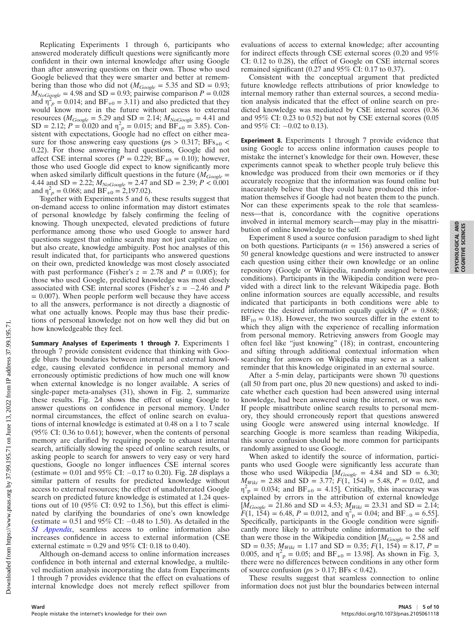Replicating Experiments 1 through 6, participants who answered moderately difficult questions were significantly more confident in their own internal knowledge after using Google than after answering questions on their own. Those who used Google believed that they were smarter and better at remembering than those who did not ( $M_{Google} = 5.35$  and SD = 0.93;  $M_{NoGgogle}$  = 4.98 and SD = 0.93; pairwise comparison  $P = 0.028$ and  $\eta_p^2 = 0.014$ ; and BF<sub>+0</sub> = 3.11) and also predicted that they would know more in the future without access to external resources ( $M_{Google} = 5.29$  and SD = 2.14;  $M_{NoGoogle} = 4.41$  and  $SD = 2.12$ ;  $P = 0.020$  and  $\eta_p^2 = 0.015$ ; and  $BF_{+0} = 3.85$ ). Consistent with expectations, Google had no effect on either measure for those answering easy questions ( $ps > 0.317$ ; BFs<sub>+0</sub> < 0.22). For those answering hard questions, Google did not affect CSE internal scores  $(P = 0.229; BF_{+0} = 0.10)$ ; however, those who used Google did expect to know significantly more when asked similarly difficult questions in the future  $(M_{Google} =$ 4.44 and SD = 2.22;  $M_{NoGoogle} = 2.47$  and SD = 2.39;  $P < 0.001$ and  $\eta^2_{p} = 0.068$ ; and  $BF_{+0} = 2{,}197.02$ ).

Together with Experiments 5 and 6, these results suggest that on-demand access to online information may distort estimates of personal knowledge by falsely confirming the feeling of knowing. Though unexpected, elevated predictions of future performance among those who used Google to answer hard questions suggest that online search may not just capitalize on, but also create, knowledge ambiguity. Post hoc analyses of this result indicated that, for participants who answered questions on their own, predicted knowledge was most closely associated with past performance (Fisher's  $z = 2.78$  and  $P = 0.005$ ); for those who used Google, predicted knowledge was most closely associated with CSE internal scores (Fisher's  $z = -2.46$  and P  $= 0.007$ ). When people perform well because they have access to all the answers, performance is not directly a diagnostic of what one actually knows. People may thus base their predictions of personal knowledge not on how well they did but on how knowledgeable they feel.

Summary Analyses of Experiments 1 through 7. Experiments 1 through 7 provide consistent evidence that thinking with Google blurs the boundaries between internal and external knowledge, causing elevated confidence in personal memory and erroneously optimistic predictions of how much one will know when external knowledge is no longer available. A series of single-paper meta-analyses (31), shown in Fig. 2, summarize these results. Fig. 2A shows the effect of using Google to answer questions on confidence in personal memory. Under normal circumstances, the effect of online search on evaluations of internal knowledge is estimated at 0.48 on a 1 to 7 scale (95% CI: 0.36 to 0.61); however, when the contents of personal memory are clarified by requiring people to exhaust internal search, artificially slowing the speed of online search results, or asking people to search for answers to very easy or very hard questions, Google no longer influences CSE internal scores (estimate =  $0.01$  and  $95\%$  CI:  $-0.17$  to 0.20). Fig. 2B displays a similar pattern of results for predicted knowledge without access to external resources; the effect of unadulterated Google search on predicted future knowledge is estimated at 1.24 questions out of 10 (95% CI: 0.92 to 1.56), but this effect is eliminated by clarifying the boundaries of one's own knowledge (estimate  $= 0.51$  and 95% CI:  $-0.48$  to 1.50). As detailed in the [SI Appendix](http://www.pnas.org/lookup/suppl/doi:10.1073/pnas.2105061118/-/DCSupplemental), seamless access to online information also increases confidence in access to external information (CSE external estimate =  $0.29$  and  $95\%$  CI:  $0.18$  to  $0.40$ ).

Although on-demand access to online information increases confidence in both internal and external knowledge, a multilevel mediation analysis incorporating the data from Experiments 1 through 7 provides evidence that the effect on evaluations of internal knowledge does not merely reflect spillover from

evaluations of access to external knowledge; after accounting for indirect effects through CSE external scores (0.20 and  $95\%$ CI: 0.12 to 0.28), the effect of Google on CSE internal scores remained significant (0.27 and 95% CI: 0.17 to 0.37).

Consistent with the conceptual argument that predicted future knowledge reflects attributions of prior knowledge to internal memory rather than external sources, a second mediation analysis indicated that the effect of online search on predicted knowledge was mediated by CSE internal scores (0.36 and 95% CI: 0.23 to 0.52) but not by CSE external scores (0.05 and  $95\%$  CI:  $-0.02$  to 0.13).

Experiment 8. Experiments 1 through 7 provide evidence that using Google to access online information causes people to mistake the internet's knowledge for their own. However, these experiments cannot speak to whether people truly believe this knowledge was produced from their own memories or if they accurately recognize that the information was found online but inaccurately believe that they could have produced this information themselves if Google had not beaten them to the punch. Nor can these experiments speak to the role that seamlessness—that is, concordance with the cognitive operations involved in internal memory search—may play in the misattribution of online knowledge to the self.

Experiment 8 used a source confusion paradigm to shed light on both questions. Participants ( $n = 156$ ) answered a series of 50 general knowledge questions and were instructed to answer each question using either their own knowledge or an online repository (Google or Wikipedia, randomly assigned between conditions). Participants in the Wikipedia condition were provided with a direct link to the relevant Wikipedia page. Both online information sources are equally accessible, and results indicated that participants in both conditions were able to retrieve the desired information equally quickly  $(P = 0.868)$ ;  $BF_{10} = 0.18$ ). However, the two sources differ in the extent to which they align with the experience of recalling information from personal memory. Retrieving answers from Google may often feel like "just knowing" (18); in contrast, encountering and sifting through additional contextual information when searching for answers on Wikipedia may serve as a salient reminder that this knowledge originated in an external source.

After a 5-min delay, participants were shown 70 questions (all 50 from part one, plus 20 new questions) and asked to indicate whether each question had been answered using internal knowledge, had been answered using the internet, or was new. If people misattribute online search results to personal memory, they should erroneously report that questions answered using Google were answered using internal knowledge. If searching Google is more seamless than reading Wikipedia, this source confusion should be more common for participants randomly assigned to use Google.

When asked to identify the source of information, participants who used Google were significantly less accurate than those who used Wikipedia  $[M_{Google} = 4.84$  and SD = 6.30;  $M_{\text{Wiki}} = 2.88$  and SD = 3.77;  $F(1, 154) = 5.48$ ,  $P = 0.02$ , and  $\eta_{\text{p}}^2 = 0.034$ ; and BF<sub>+0</sub> = 4.15]. Critically, this inaccuracy was explained by errors in the attribution of external knowledge  $[M_{Google} = 21.86$  and SD = 4.53;  $M_{Wiki} = 23.31$  and SD = 2.14;  $F(1, 154) = 6.48, P = 0.012, \text{ and } \eta^2 = 0.04; \text{ and } BF_{-0} = 6.55$ . Specifically, participants in the Google condition were significantly more likely to attribute online information to the self than were those in the Wikipedia condition  $[M_{Google} = 2.58$  and  $SD = 0.35$ ;  $M_{Wiki} = 1.17$  and  $SD = 0.35$ ;  $F(1, 154) = 8.17$ ,  $P =$ 0.005, and  $\eta_{\text{p}}^2 = 0.05$ ; and BF<sub>+0</sub> = 13.98]. As shown in Fig. 3, there were no differences between conditions in any other form of source confusion ( $ps > 0.17$ ; BFs < 0.42).

These results suggest that seamless connection to online information does not just blur the boundaries between internal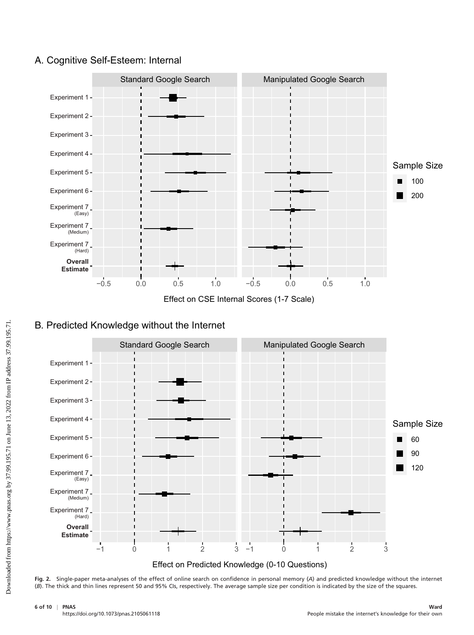# A. Cognitive Self-Esteem: Internal



Effect on CSE Internal Scores (1-7 Scale)



# B. Predicted Knowledge without the Internet

Fig. 2. Single-paper meta-analyses of the effect of online search on confidence in personal memory (A) and predicted knowledge without the internet (B). The thick and thin lines represent 50 and 95% CIs, respectively. The average sample size per condition is indicated by the size of the squares.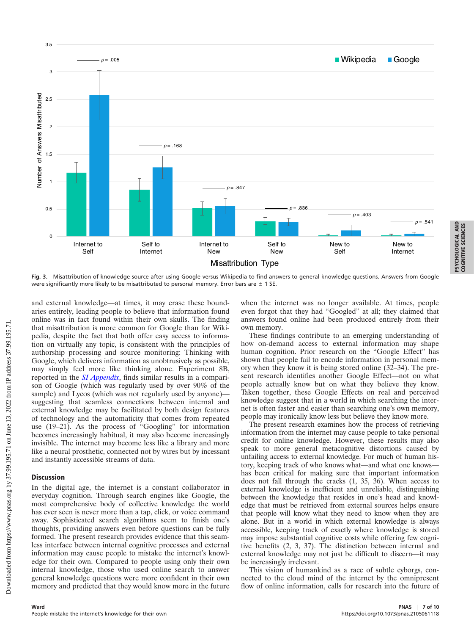

Fig. 3. Misattribution of knowledge source after using Google versus Wikipedia to find answers to general knowledge questions. Answers from Google were significantly more likely to be misattributed to personal memory. Error bars are  $\pm$  1 SE.

and external knowledge—at times, it may erase these boundaries entirely, leading people to believe that information found online was in fact found within their own skulls. The finding that misattribution is more common for Google than for Wikipedia, despite the fact that both offer easy access to information on virtually any topic, is consistent with the principles of authorship processing and source monitoring: Thinking with Google, which delivers information as unobtrusively as possible, may simply feel more like thinking alone. Experiment 8B, reported in the *[SI Appendix](http://www.pnas.org/lookup/suppl/doi:10.1073/pnas.2105061118/-/DCSupplemental)*, finds similar results in a comparison of Google (which was regularly used by over 90% of the sample) and Lycos (which was not regularly used by anyone) suggesting that seamless connections between internal and external knowledge may be facilitated by both design features of technology and the automaticity that comes from repeated use (19–21). As the process of "Googling" for information becomes increasingly habitual, it may also become increasingly invisible. The internet may become less like a library and more like a neural prosthetic, connected not by wires but by incessant and instantly accessible streams of data.

#### **Discussion**

In the digital age, the internet is a constant collaborator in everyday cognition. Through search engines like Google, the most comprehensive body of collective knowledge the world has ever seen is never more than a tap, click, or voice command away. Sophisticated search algorithms seem to finish one's thoughts, providing answers even before questions can be fully formed. The present research provides evidence that this seamless interface between internal cognitive processes and external information may cause people to mistake the internet's knowledge for their own. Compared to people using only their own internal knowledge, those who used online search to answer general knowledge questions were more confident in their own memory and predicted that they would know more in the future

when the internet was no longer available. At times, people even forgot that they had "Googled" at all; they claimed that answers found online had been produced entirely from their own memory.

PSYCHOLOGICAL AND COGNITIVE SCIENCES

**PSYCHOLOGICAL AND**<br>COGNITIVE SCIENCES

These findings contribute to an emerging understanding of how on-demand access to external information may shape human cognition. Prior research on the "Google Effect" has shown that people fail to encode information in personal memory when they know it is being stored online (32–34). The present research identifies another Google Effect—not on what people actually know but on what they believe they know. Taken together, these Google Effects on real and perceived knowledge suggest that in a world in which searching the internet is often faster and easier than searching one's own memory, people may ironically know less but believe they know more.

The present research examines how the process of retrieving information from the internet may cause people to take personal credit for online knowledge. However, these results may also speak to more general metacognitive distortions caused by unfailing access to external knowledge. For much of human history, keeping track of who knows what—and what one knows has been critical for making sure that important information does not fall through the cracks (1, 35, 36). When access to external knowledge is inefficient and unreliable, distinguishing between the knowledge that resides in one's head and knowledge that must be retrieved from external sources helps ensure that people will know what they need to know when they are alone. But in a world in which external knowledge is always accessible, keeping track of exactly where knowledge is stored may impose substantial cognitive costs while offering few cognitive benefits (2, 3, 37). The distinction between internal and external knowledge may not just be difficult to discern—it may be increasingly irrelevant.

This vision of humankind as a race of subtle cyborgs, connected to the cloud mind of the internet by the omnipresent flow of online information, calls for research into the future of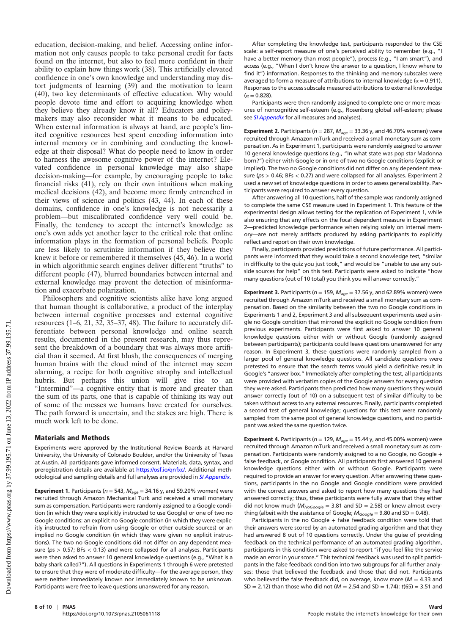education, decision-making, and belief. Accessing online information not only causes people to take personal credit for facts found on the internet, but also to feel more confident in their ability to explain how things work (38). This artificially elevated confidence in one's own knowledge and understanding may distort judgments of learning (39) and the motivation to learn (40), two key determinants of effective education. Why would people devote time and effort to acquiring knowledge when they believe they already know it all? Educators and policymakers may also reconsider what it means to be educated. When external information is always at hand, are people's limited cognitive resources best spent encoding information into internal memory or in combining and conducting the knowledge at their disposal? What do people need to know in order to harness the awesome cognitive power of the internet? Elevated confidence in personal knowledge may also shape decision-making—for example, by encouraging people to take financial risks (41), rely on their own intuitions when making medical decisions (42), and become more firmly entrenched in their views of science and politics (43, 44). In each of these domains, confidence in one's knowledge is not necessarily a problem—but miscalibrated confidence very well could be. Finally, the tendency to accept the internet's knowledge as one's own adds yet another layer to the critical role that online information plays in the formation of personal beliefs. People are less likely to scrutinize information if they believe they knew it before or remembered it themselves (45, 46). In a world in which algorithmic search engines deliver different "truths" to different people (47), blurred boundaries between internal and external knowledge may prevent the detection of misinformation and exacerbate polarization.

Philosophers and cognitive scientists alike have long argued that human thought is collaborative, a product of the interplay between internal cognitive processes and external cognitive resources (1–6, 21, 32, 35–37, 48). The failure to accurately differentiate between personal knowledge and online search results, documented in the present research, may thus represent the breakdown of a boundary that was always more artificial than it seemed. At first blush, the consequences of merging human brains with the cloud mind of the internet may seem alarming, a recipe for both cognitive atrophy and intellectual hubris. But perhaps this union will give rise to an "Intermind"—a cognitive entity that is more and greater than the sum of its parts, one that is capable of thinking its way out of some of the messes we humans have created for ourselves. The path forward is uncertain, and the stakes are high. There is much work left to be done.

### Materials and Methods

Experiments were approved by the Institutional Review Boards at Harvard University, the University of Colorado Boulder, and/or the University of Texas at Austin. All participants gave informed consent. Materials, data, syntax, and preregistration details are available at <https://osf.io/qnfxc/>. Additional meth-odological and sampling details and full analyses are provided in [SI Appendix](http://www.pnas.org/lookup/suppl/doi:10.1073/pnas.2105061118/-/DCSupplemental).

**Experiment 1.** Participants ( $n = 543$ ,  $M_{age} = 34.16$  y, and 59.20% women) were recruited through Amazon Mechanical Turk and received a small monetary sum as compensation. Participants were randomly assigned to a Google condition (in which they were explicitly instructed to use Google) or one of two no Google conditions: an explicit no Google condition (in which they were explicitly instructed to refrain from using Google or other outside sources) or an implied no Google condition (in which they were given no explicit instructions). The two no Google conditions did not differ on any dependent measure ( $ps > 0.57$ ; BFs  $< 0.13$ ) and were collapsed for all analyses. Participants were then asked to answer 10 general knowledge questions (e.g., "What is a baby shark called?"). All questions in Experiments 1 through 6 were pretested to ensure that they were of moderate difficulty—for the average person, they were neither immediately known nor immediately known to be unknown. Participants were free to leave questions unanswered for any reason.

After completing the knowledge test, participants responded to the CSE scale: a self-report measure of one's perceived ability to remember (e.g., "I have a better memory than most people"), process (e.g., "I am smart"), and access (e.g., "When I don't know the answer to a question, I know where to find it") information. Responses to the thinking and memory subscales were averaged to form a measure of attributions to internal knowledge ( $\alpha$  = 0.911). Responses to the access subscale measured attributions to external knowledge  $(\alpha = 0.828)$ .

Participants were then randomly assigned to complete one or more measures of noncognitive self-esteem (e.g., Rosenberg global self-esteem; please see [SI Appendix](http://www.pnas.org/lookup/suppl/doi:10.1073/pnas.2105061118/-/DCSupplemental) for all measures and analyses).

**Experiment 2.** Participants ( $n = 287$ ,  $M_{age} = 33.36$  y, and 46.70% women) were recruited through Amazon mTurk and received a small monetary sum as compensation. As in Experiment 1, participants were randomly assigned to answer 10 general knowledge questions (e.g., "In what state was pop star Madonna born?") either with Google or in one of two no Google conditions (explicit or implied). The two no Google conditions did not differ on any dependent measure (ps > 0.46; BFs < 0.27) and were collapsed for all analyses. Experiment 2 used a new set of knowledge questions in order to assess generalizability. Participants were required to answer every question.

After answering all 10 questions, half of the sample was randomly assigned to complete the same CSE measure used in Experiment 1. This feature of the experimental design allows testing for the replication of Experiment 1, while also ensuring that any effects on the focal dependent measure in Experiment 2—predicted knowledge performance when relying solely on internal memory—are not merely artifacts produced by asking participants to explicitly reflect and report on their own knowledge.

Finally, participants provided predictions of future performance. All participants were informed that they would take a second knowledge test, "similar in difficulty to the quiz you just took," and would be "unable to use any outside sources for help" on this test. Participants were asked to indicate "how many questions (out of 10 total) you think you will answer correctly."

**Experiment 3.** Participants ( $n = 159$ ,  $M_{age} = 37.56$  y, and 62.89% women) were recruited through Amazon mTurk and received a small monetary sum as compensation. Based on the similarity between the two no Google conditions in Experiments 1 and 2, Experiment 3 and all subsequent experiments used a single no Google condition that mirrored the explicit no Google condition from previous experiments. Participants were first asked to answer 10 general knowledge questions either with or without Google (randomly assigned between participants); participants could leave questions unanswered for any reason. In Experiment 3, these questions were randomly sampled from a larger pool of general knowledge questions. All candidate questions were pretested to ensure that the search terms would yield a definitive result in Google's "answer box." Immediately after completing the test, all participants were provided with verbatim copies of the Google answers for every question they were asked. Participants then predicted how many questions they would answer correctly (out of 10) on a subsequent test of similar difficulty to be taken without access to any external resources. Finally, participants completed a second test of general knowledge; questions for this test were randomly sampled from the same pool of general knowledge questions, and no participant was asked the same question twice.

**Experiment 4.** Participants ( $n = 129$ ,  $M_{age} = 35.44$  y, and 45.00% women) were recruited through Amazon mTurk and received a small monetary sum as compensation. Participants were randomly assigned to a no Google, no Google + false feedback, or Google condition. All participants first answered 10 general knowledge questions either with or without Google. Participants were required to provide an answer for every question. After answering these questions, participants in the no Google and Google conditions were provided with the correct answers and asked to report how many questions they had answered correctly; thus, these participants were fully aware that they either did not know much ( $M_{NoGoogle} = 3.81$  and SD = 2.58) or knew almost everything (albeit with the assistance of Google;  $M_{Google} = 9.80$  and SD = 0.48).

Participants in the no Google + false feedback condition were told that their answers were scored by an automated grading algorithm and that they had answered 8 out of 10 questions correctly. Under the guise of providing feedback on the technical performance of an automated grading algorithm, participants in this condition were asked to report "if you feel like the service made an error in your score." This technical feedback was used to split participants in the false feedback condition into two subgroups for all further analyses: those that believed the feedback and those that did not. Participants who believed the false feedback did, on average, know more ( $M = 4.33$  and  $SD = 2.12$ ) than those who did not ( $M = 2.54$  and  $SD = 1.74$ ):  $t(65) = 3.51$  and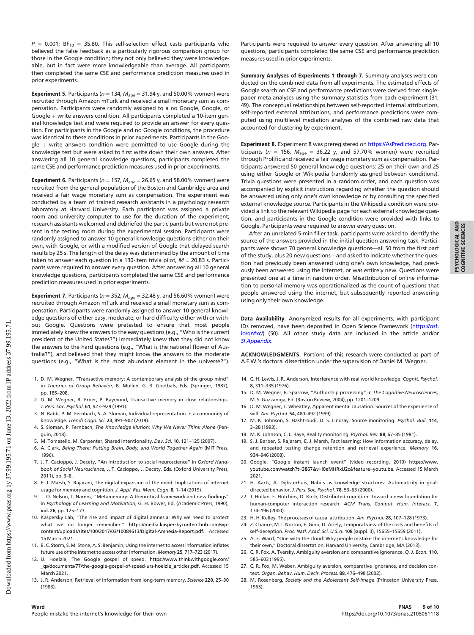$P = 0.001$ ; BF<sub>10</sub> = 35.80. This self-selection effect casts participants who believed the false feedback as a particularly rigorous comparison group for those in the Google condition; they not only believed they were knowledgeable, but in fact were more knowledgeable than average. All participants then completed the same CSE and performance prediction measures used in prior experiments.

**Experiment 5.** Participants ( $n = 134$ ,  $M_{age} = 31.94$  y, and 50.00% women) were recruited through Amazon mTurk and received a small monetary sum as compensation. Participants were randomly assigned to a no Google, Google, or Google + write answers condition. All participants completed a 10-item general knowledge test and were required to provide an answer for every question. For participants in the Google and no Google conditions, the procedure was identical to these conditions in prior experiments. Participants in the Google + write answers condition were permitted to use Google during the knowledge test but were asked to first write down their own answers. After answering all 10 general knowledge questions, participants completed the same CSE and performance prediction measures used in prior experiments.

**Experiment 6.** Participants ( $n = 157$ ,  $M_{age} = 26.65$  y, and 58.00% women) were recruited from the general population of the Boston and Cambridge area and received a fair wage monetary sum as compensation. The experiment was conducted by a team of trained research assistants in a psychology research laboratory at Harvard University. Each participant was assigned a private room and university computer to use for the duration of the experiment; research assistants welcomed and debriefed the participants but were not present in the testing room during the experimental session. Participants were randomly assigned to answer 10 general knowledge questions either on their own, with Google, or with a modified version of Google that delayed search results by 25 s. The length of the delay was determined by the amount of time taken to answer each question in a 130-item trivia pilot,  $M = 20.83$  s. Participants were required to answer every question. After answering all 10 general knowledge questions, participants completed the same CSE and performance prediction measures used in prior experiments.

**Experiment 7.** Participants ( $n = 352$ ,  $M_{age} = 32.48$  y, and 56.60% women) were recruited through Amazon mTurk and received a small monetary sum as compensation. Participants were randomly assigned to answer 10 general knowledge questions of either easy, moderate, or hard difficulty either with or without Google. Questions were pretested to ensure that most people immediately knew the answers to the easy questions (e.g., "Who is the current president of the United States?") immediately knew that they did not know the answers to the hard questions (e.g., "What is the national flower of Australia?"), and believed that they might know the answers to the moderate questions (e.g., "What is the most abundant element in the universe?").

- 1. D. M. Wegner, "Transactive memory: A contemporary analysis of the group mind" in Theories of Group Behavior, B. Mullen, G. R. Goethals, Eds. (Springer, 1987), pp. 185–208.
- 2. D. M. Wegner, R. Erber, P. Raymond, Transactive memory in close relationships. J. Pers. Soc. Psychol. 61, 923–929 (1991).
- 3. N. Rabb, P. M. Fernbach, S. A. Sloman, Individual representation in a community of knowledge. Trends Cogn. Sci. 23, 891–902 (2019).
- 4. S. Sloman, P. Fernbach, The Knowledge Illusion: Why We Never Think Alone (Penguin, 2018).
- 5. M. Tomasello, M. Carpenter, Shared intentionality. Dev. Sci. 10, 121–125 (2007).
- 6. A. Clark, Being There: Putting Brain, Body, and World Together Again (MIT Press, 1996).
- 7. J. T. Cacioppo, J. Decety, "An introduction to social neuroscience" in Oxford Handbook of Social Neuroscience, J. T. Cacioppo, J. Decety, Eds. (Oxford University Press, 2011), pp. 3–8.
- 8. E. J. Marsh, S. Rajaram, The digital expansion of the mind: Implications of internet usage for memory and cognition. J. Appl. Res. Mem. Cogn. 8, 1–14 (2019).
- 9. T. O. Nelson, L. Narens, "Metamemory: A theoretical framework and new findings" in Psychology of Learning and Motivation, G. H. Bower, Ed. (Academic Press, 1990), vol. 26, pp. 125–173.
- 10. Kaspersky Lab, "The rise and impact of digital amnesia: Why we need to protect what we no longer remember." [https://media.kasperskycontenthub.com/wp](https://media.kasperskycontenthub.com/wp-content/uploads/sites/100/2017/03/10084613/Digital-Amnesia-Report.pdf)[content/uploads/sites/100/2017/03/10084613/Digital-Amnesia-Report.pdf.](https://media.kasperskycontenthub.com/wp-content/uploads/sites/100/2017/03/10084613/Digital-Amnesia-Report.pdf) Accessed 15 March 2021.
- 11. B. C. Storm, S. M. Stone, A. S. Benjamin, Using the internet to access information inflates future use of the internet to access other information. Memory 25, 717–723 (2017).
- 12. U. Hoelzle, The Google gospel of speed. [https://www.thinkwithgoogle.com/](https://www.thinkwithgoogle.com/_qs/documents/77/the-google-gospel-of-speed-urs-hoelzle_articles.pdf) [\\_qs/documents/77/the-google-gospel-of-speed-urs-hoelzle\\_articles.pdf](https://www.thinkwithgoogle.com/_qs/documents/77/the-google-gospel-of-speed-urs-hoelzle_articles.pdf). Accessed 15 March 2021.
- 13. J. R. Anderson, Retrieval of information from long-term memory. Science 220, 25–30 (1983).

Participants were required to answer every question. After answering all 10 questions, participants completed the same CSE and performance prediction measures used in prior experiments.

Summary Analyses of Experiments 1 through 7. Summary analyses were conducted on the combined data from all experiments. The estimated effects of Google search on CSE and performance predictions were derived from singlepaper meta-analyses using the summary statistics from each experiment (31, 49). The conceptual relationships between self-reported internal attributions, self-reported external attributions, and performance predictions were computed using multilevel mediation analyses of the combined raw data that accounted for clustering by experiment.

Experiment 8. Experiment 8 was preregistered on [https://AsPredicted.org.](https://aspredicted.org/963zt.pdf) Participants ( $n = 156$ ,  $M_{\text{age}} = 36.22$  y, and 57.70% women) were recruited through Prolific and received a fair wage monetary sum as compensation. Participants answered 50 general knowledge questions: 25 on their own and 25 using either Google or Wikipedia (randomly assigned between conditions). Trivia questions were presented in a random order, and each question was accompanied by explicit instructions regarding whether the question should be answered using only one's own knowledge or by consulting the specified external knowledge source. Participants in the Wikipedia condition were provided a link to the relevant Wikipedia page for each external knowledge question, and participants in the Google condition were provided with links to Google. Participants were required to answer every question.

After an unrelated 5-min filler task, participants were asked to identify the source of the answers provided in the initial question-answering task. Participants were shown 70 general knowledge questions—all 50 from the first part of the study, plus 20 new questions—and asked to indicate whether the question had previously been answered using one's own knowledge, had previously been answered using the internet, or was entirely new. Questions were presented one at a time in random order. Misattribution of online information to personal memory was operationalized as the count of questions that people answered using the internet, but subsequently reported answering using only their own knowledge.

PSYCHOLOGICAL AND COGNITIVE SCIENCES

**PSYCHOLOGICAL AND**<br>COGNITIVE SCIENCES

Data Availability. Anonymized results for all experiments, with participant IDs removed, have been deposited in Open Science Framework [\(https://osf.](https://osf.io/qnfxc/) [io/qnfxc/](https://osf.io/qnfxc/)) (50). All other study data are included in the article and/or [SI Appendix](http://www.pnas.org/lookup/suppl/doi:10.1073/pnas.2105061118/-/DCSupplemental).

ACKNOWLEDGMENTS. Portions of this research were conducted as part of A.F.W.'s doctoral dissertation under the supervision of Daniel M. Wegner.

- 14. C. H. Lewis, J. R. Anderson, Interference with real world knowledge. Cognit. Psychol. 8, 311–335 (1976).
- 15. D. M. Wegner, B. Sparrow, "Authorship processing" in The Cognitive Neurosciences, M. S. Gazzaniga, Ed. (Boston Review, 2004), pp. 1201–1209.
- 16. D. M. Wegner, T. Wheatley, Apparent mental causation. Sources of the experience of will. Am. Psychol. 54, 480–492 (1999).
- 17. M. K. Johnson, S. Hashtroudi, D. S. Lindsay, Source monitoring. Psychol. Bull. 114, 3–28 (1993).
- 18. M. K. Johnson, C. L. Raye, Reality monitoring. Psychol. Rev. 88, 67–85 (1981).
- 19. S. J. Barber, S. Rajaram, E. J. Marsh, Fact learning: How information accuracy, delay, and repeated testing change retention and retrieval experience. Memory 16, 934–946 (2008).
- 20. Google, "Google instant launch event" (video recording, 2010) [https://www.](https://www.youtube.com/watch?t=3867&hx0026;v=i0eMHRxlJ2c&hx0026;feature=youtu.be) [youtube.com/watch?t=3867&v=i0eMHRxlJ2c&feature=youtu.be](https://www.youtube.com/watch?t=3867&hx0026;v=i0eMHRxlJ2c&hx0026;feature=youtu.be). Accessed 15 March 2021.
- 21. H. Aarts, A. Dijksterhuis, Habits as knowledge structures: Automaticity in goaldirected behavior. J. Pers. Soc. Psychol. 78, 53–63 (2000).
- 22. J. Hollan, E. Hutchins, D. Kirsh, Distributed cognition: Toward a new foundation for human-computer interaction research. ACM Trans. Comput. Hum. Interact. 7, 174–196 (2000).
- 23. H. H. Kelley, The processes of causal attribution. Am. Psychol. 28, 107–128 (1973).
- 24. Z. Chance, M. I. Norton, F. Gino, D. Ariely, Temporal view of the costs and benefits of self-deception. Proc. Natl. Acad. Sci. U.S.A. 108 (suppl. 3), 15655–15659 (2011).
- 25. A. F. Ward, "One with the cloud: Why people mistake the internet's knowledge for their own," Doctoral dissertation, Harvard University, Cambridge, MA (2013).
- 26. C. R. Fox, A. Tversky, Ambiguity aversion and comparative ignorance. Q. J. Econ. 110, 585–603 (1995).
- 27. C. R. Fox, M. Weber, Ambiguity aversion, comparative ignorance, and decision context. Organ. Behav. Hum. Decis. Process. 88, 476–498 (2002).
- 28. M. Rosenberg, Society and the Adolescent Self-Image (Princeton University Press, 1965).